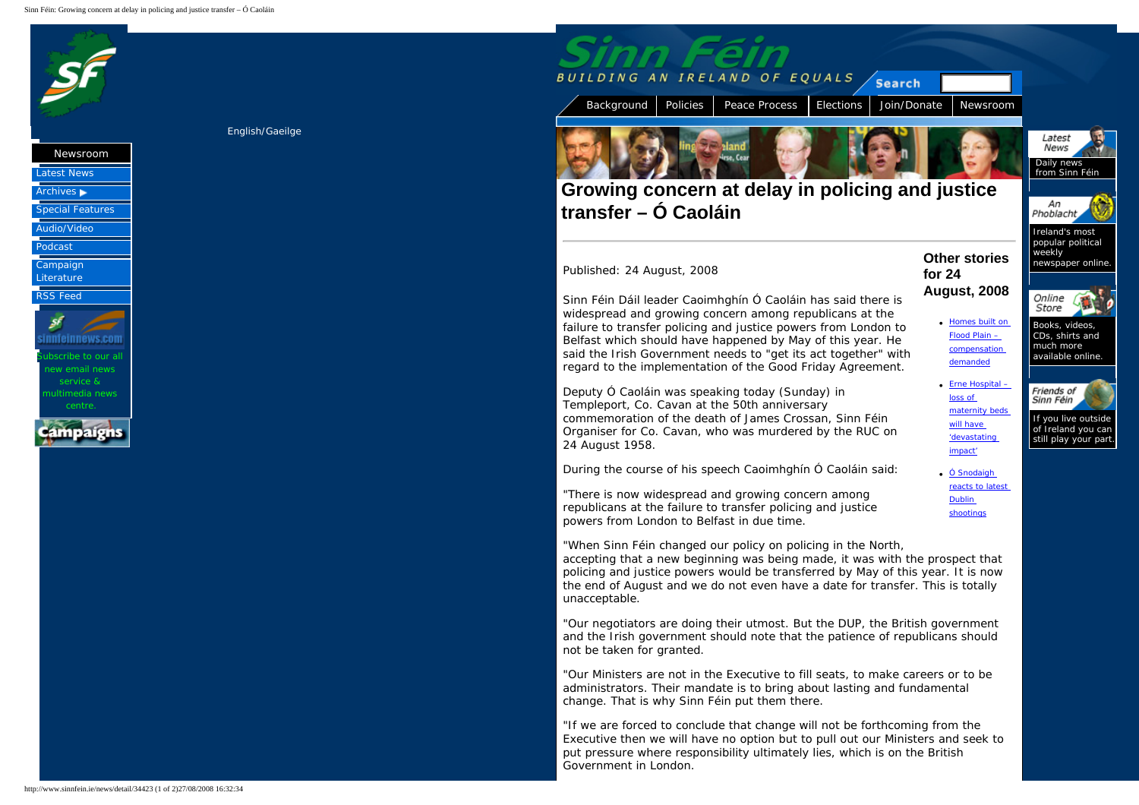<span id="page-0-1"></span><span id="page-0-0"></span>



ultimedia news

## [English](#page-0-0)/[Gaeilge](http://www.sinnfein.ie/gaelic/news/detail/34423)



[Background](http://www.sinnfein.ie/) [Policies](http://www.sinnfein.ie/policies/) [Peace Process](http://www.sinnfein.ie/peace/) [Elections](http://www.sinnfein.ie/elections/) [Join/Donate](http://www.sinnfein.ie/join/) [Newsroom](http://www.sinnfein.ie/news/)

**Other stories** 

**August, 2008**

**for 24** 

## **Growing concern at delay in policing and justice transfer – Ó Caoláin**

## Published: 24 August, 2008

Sinn Féin Dáil leader Caoimhghín Ó Caoláin has said there is widespread and growing concern among republicans at the failure to transfer policing and justice powers from London to Belfast which should have happened by May of this year. He said the Irish Government needs to "get its act together" with regard to the implementation of the Good Friday Agreement.

Deputy Ó Caoláin was speaking today (Sunday) in Templeport, Co. Cavan at the 50th anniversary commemoration of the death of James Crossan, Sinn Féin Organiser for Co. Cavan, who was murdered by the RUC on 24 August 1958.

During the course of his speech Caoimhghín Ó Caoláin said:

"There is now widespread and growing concern among republicans at the failure to transfer policing and justice powers from London to Belfast in due time.

"When Sinn Féin changed our policy on policing in the North, accepting that a new beginning was being made, it was with the prospect that policing and justice powers would be transferred by May of this year. It is now the end of August and we do not even have a date for transfer. This is totally unacceptable.

"Our negotiators are doing their utmost. But the DUP, the British government and the Irish government should note that the patience of republicans should not be taken for granted.

"Our Ministers are not in the Executive to fill seats, to make careers or to be administrators. Their mandate is to bring about lasting and fundamental change. That is why Sinn Féin put them there.

"If we are forced to conclude that change will not be forthcoming from the Executive then we will have no option but to pull out our Ministers and seek to put pressure where responsibility ultimately lies, which is on the British Government in London.

Latest News Daily news from Sinn Féin



Ireland's most popular political weekly newspaper online.



**[Homes built on](http://www.sinnfein.ie/news/detail/34421)** [Flood Plain –](http://www.sinnfein.ie/news/detail/34421) [compensation](http://www.sinnfein.ie/news/detail/34421)  [demanded](http://www.sinnfein.ie/news/detail/34421) Books, videos, CDs, shirts and much more available online.



of Ireland you can still play your part.

● [Ó Snodaigh](http://www.sinnfein.ie/news/detail/34424) [reacts to latest](http://www.sinnfein.ie/news/detail/34424)  [Dublin](http://www.sinnfein.ie/news/detail/34424) [shootings](http://www.sinnfein.ie/news/detail/34424)

 $\bullet$  Erne Hospital – [loss of](http://www.sinnfein.ie/news/detail/34422) [maternity beds](http://www.sinnfein.ie/news/detail/34422) [will have](http://www.sinnfein.ie/news/detail/34422) ['devastating](http://www.sinnfein.ie/news/detail/34422)  [impact'](http://www.sinnfein.ie/news/detail/34422)